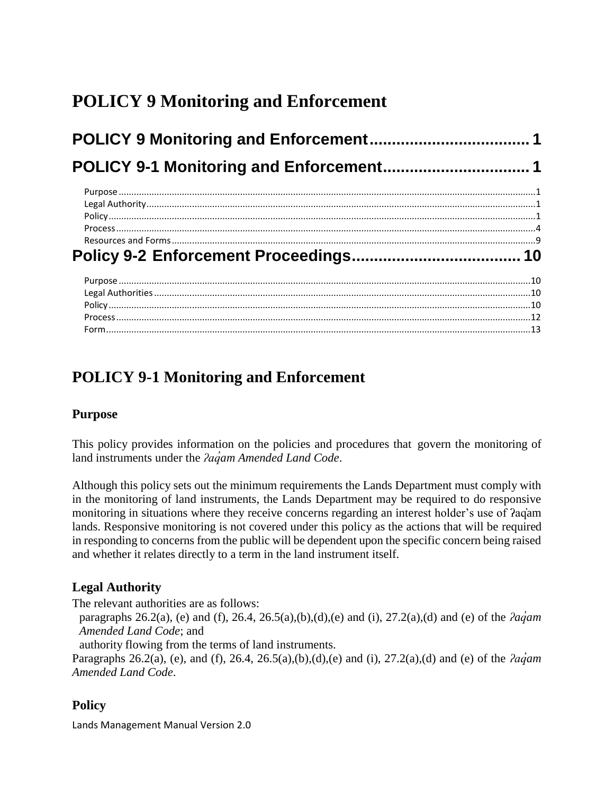# <span id="page-0-0"></span>**POLICY 9 Monitoring and Enforcement**

## <span id="page-0-1"></span>**POLICY 9-1 Monitoring and Enforcement**

### <span id="page-0-2"></span>**Purpose**

This policy provides information on the policies and procedures that govern the monitoring of land instruments under the *ʔaq̓am Amended Land Code*.

Although this policy sets out the minimum requirements the Lands Department must comply with in the monitoring of land instruments, the Lands Department may be required to do responsive monitoring in situations where they receive concerns regarding an interest holder's use of ʔaq̓am lands. Responsive monitoring is not covered under this policy as the actions that will be required in responding to concerns from the public will be dependent upon the specific concern being raised and whether it relates directly to a term in the land instrument itself.

### <span id="page-0-3"></span>**Legal Authority**

The relevant authorities are as follows:

paragraphs 26.2(a), (e) and (f), 26.4, 26.5(a),(b),(d),(e) and (i), 27.2(a),(d) and (e) of the *ʔaq̓am Amended Land Code*; and

authority flowing from the terms of land instruments.

Paragraphs 26.2(a), (e), and (f), 26.4, 26.5(a),(b),(d),(e) and (i), 27.2(a),(d) and (e) of the *ʔaq̓am Amended Land Code*.

### <span id="page-0-4"></span>**Policy**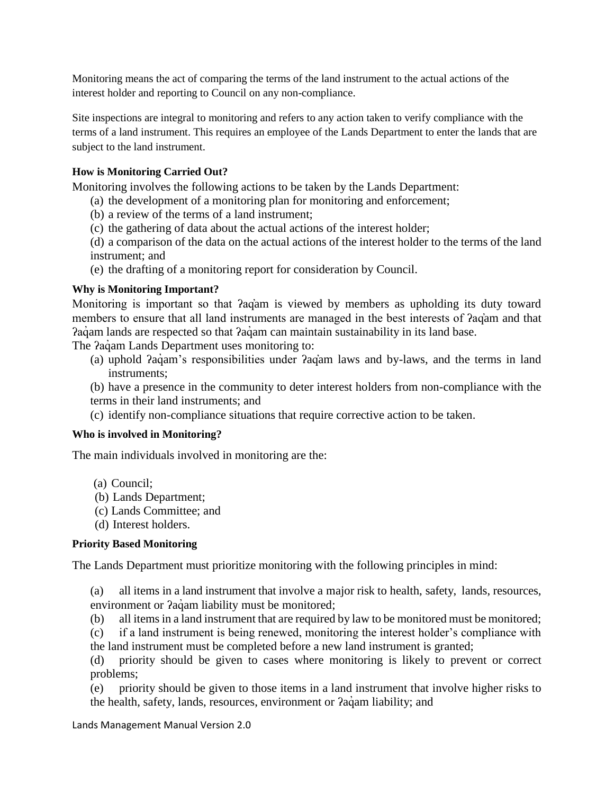Monitoring means the act of comparing the terms of the land instrument to the actual actions of the interest holder and reporting to Council on any non-compliance.

Site inspections are integral to monitoring and refers to any action taken to verify compliance with the terms of a land instrument. This requires an employee of the Lands Department to enter the lands that are subject to the land instrument.

### **How is Monitoring Carried Out?**

Monitoring involves the following actions to be taken by the Lands Department:

- (a) the development of a monitoring plan for monitoring and enforcement;
- (b) a review of the terms of a land instrument;
- (c) the gathering of data about the actual actions of the interest holder;
- (d) a comparison of the data on the actual actions of the interest holder to the terms of the land instrument; and
- (e) the drafting of a monitoring report for consideration by Council.

### **Why is Monitoring Important?**

Monitoring is important so that *Pag*<sup>a</sup>m is viewed by members as upholding its duty toward members to ensure that all land instruments are managed in the best interests of ʔaq̓am and that Pagam lands are respected so that Pagam can maintain sustainability in its land base.

The  $2a\ddot{q}$  am Lands Department uses monitoring to:

(a) uphold *?agam's* responsibilities under *?agam laws and by-laws*, and the terms in land instruments;

(b) have a presence in the community to deter interest holders from non-compliance with the terms in their land instruments; and

(c) identify non-compliance situations that require corrective action to be taken.

### **Who is involved in Monitoring?**

The main individuals involved in monitoring are the:

- (a) Council;
- (b) Lands Department;
- (c) Lands Committee; and
- (d) Interest holders.

### **Priority Based Monitoring**

The Lands Department must prioritize monitoring with the following principles in mind:

(a) all items in a land instrument that involve a major risk to health, safety, lands, resources, environment or  $2a\dot{q}$ am liability must be monitored;

(b) all items in a land instrument that are required by law to be monitored must be monitored;

(c) if a land instrument is being renewed, monitoring the interest holder's compliance with the land instrument must be completed before a new land instrument is granted;

(d) priority should be given to cases where monitoring is likely to prevent or correct problems;

(e) priority should be given to those items in a land instrument that involve higher risks to the health, safety, lands, resources, environment or  $2a\dot{q}$  am liability; and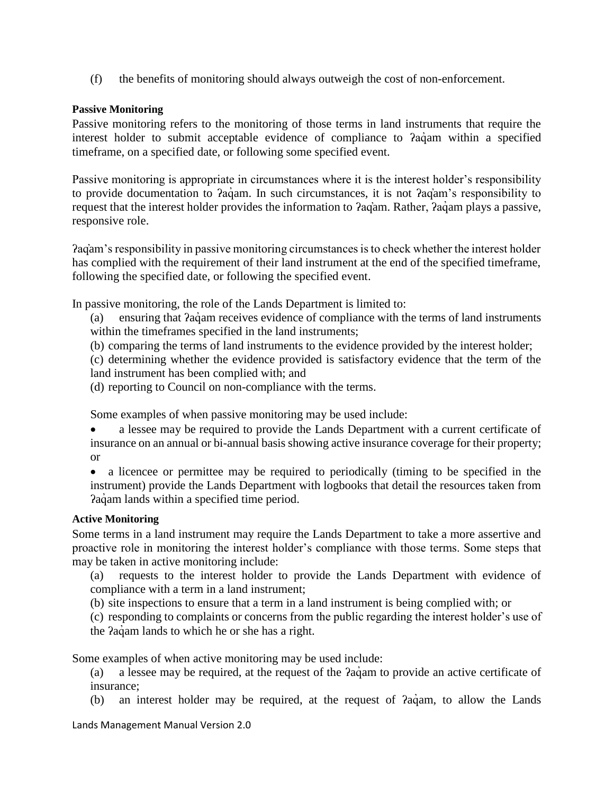(f) the benefits of monitoring should always outweigh the cost of non-enforcement.

### **Passive Monitoring**

Passive monitoring refers to the monitoring of those terms in land instruments that require the interest holder to submit acceptable evidence of compliance to  $a$ <sub>a</sub> am within a specified timeframe, on a specified date, or following some specified event.

Passive monitoring is appropriate in circumstances where it is the interest holder's responsibility to provide documentation to *Pagam*. In such circumstances, it is not *Pagam's* responsibility to request that the interest holder provides the information to *?aq*´am. Rather, *?aq*´am plays a passive, responsive role.

ʔaq̓am's responsibility in passive monitoring circumstances is to check whether the interest holder has complied with the requirement of their land instrument at the end of the specified timeframe, following the specified date, or following the specified event.

In passive monitoring, the role of the Lands Department is limited to:

- (a) ensuring that ʔaq̓ am receives evidence of compliance with the terms of land instruments within the timeframes specified in the land instruments;
- (b) comparing the terms of land instruments to the evidence provided by the interest holder;
- (c) determining whether the evidence provided is satisfactory evidence that the term of the land instrument has been complied with; and
- (d) reporting to Council on non-compliance with the terms.

Some examples of when passive monitoring may be used include:

 a lessee may be required to provide the Lands Department with a current certificate of insurance on an annual or bi-annual basis showing active insurance coverage for their property; or

 a licencee or permittee may be required to periodically (timing to be specified in the instrument) provide the Lands Department with logbooks that detail the resources taken from Paquam lands within a specified time period.

### **Active Monitoring**

Some terms in a land instrument may require the Lands Department to take a more assertive and proactive role in monitoring the interest holder's compliance with those terms. Some steps that may be taken in active monitoring include:

- (a) requests to the interest holder to provide the Lands Department with evidence of compliance with a term in a land instrument;
- (b) site inspections to ensure that a term in a land instrument is being complied with; or
- (c) responding to complaints or concerns from the public regarding the interest holder's use of
- the *Paq*' am lands to which he or she has a right.

Some examples of when active monitoring may be used include:

- (a) a lessee may be required, at the request of the ʔaq̓ am to provide an active certificate of insurance;
- (b) an interest holder may be required, at the request of  $aq$ <sup>a</sup> am, to allow the Lands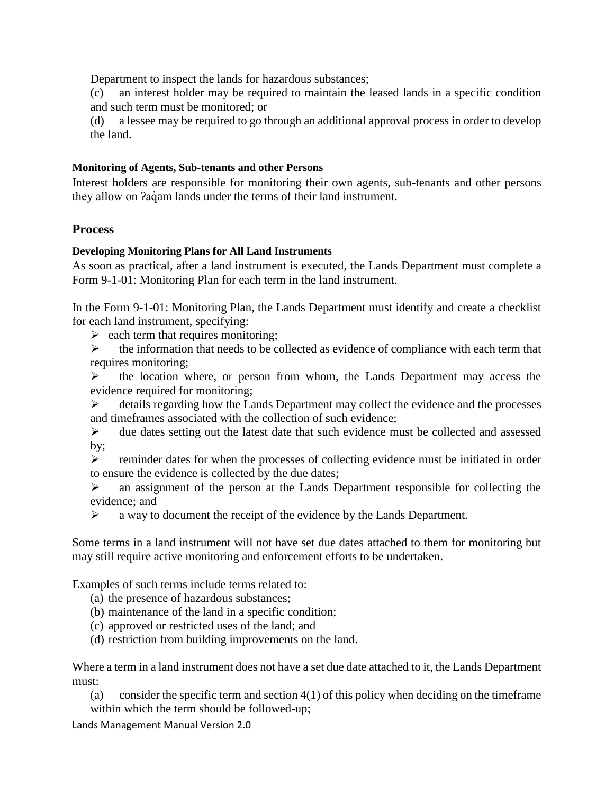Department to inspect the lands for hazardous substances;

(c) an interest holder may be required to maintain the leased lands in a specific condition and such term must be monitored; or

(d) a lessee may be required to go through an additional approval process in order to develop the land.

### **Monitoring of Agents, Sub-tenants and other Persons**

Interest holders are responsible for monitoring their own agents, sub-tenants and other persons they allow on *Pagam* lands under the terms of their land instrument.

### <span id="page-3-0"></span>**Process**

### **Developing Monitoring Plans for All Land Instruments**

As soon as practical, after a land instrument is executed, the Lands Department must complete a Form 9-1-01: Monitoring Plan for each term in the land instrument.

In the Form 9-1-01: Monitoring Plan, the Lands Department must identify and create a checklist for each land instrument, specifying:

 $\geq$  each term that requires monitoring;

 $\triangleright$  the information that needs to be collected as evidence of compliance with each term that requires monitoring;

 $\triangleright$  the location where, or person from whom, the Lands Department may access the evidence required for monitoring;

 $\triangleright$  details regarding how the Lands Department may collect the evidence and the processes and timeframes associated with the collection of such evidence;

 $\triangleright$  due dates setting out the latest date that such evidence must be collected and assessed by;

 $\triangleright$  reminder dates for when the processes of collecting evidence must be initiated in order to ensure the evidence is collected by the due dates;

 an assignment of the person at the Lands Department responsible for collecting the evidence; and

 $\triangleright$  a way to document the receipt of the evidence by the Lands Department.

Some terms in a land instrument will not have set due dates attached to them for monitoring but may still require active monitoring and enforcement efforts to be undertaken.

Examples of such terms include terms related to:

(a) the presence of hazardous substances;

- (b) maintenance of the land in a specific condition;
- (c) approved or restricted uses of the land; and
- (d) restriction from building improvements on the land.

Where a term in a land instrument does not have a set due date attached to it, the Lands Department must:

(a) consider the specific term and section  $4(1)$  of this policy when deciding on the timeframe within which the term should be followed-up;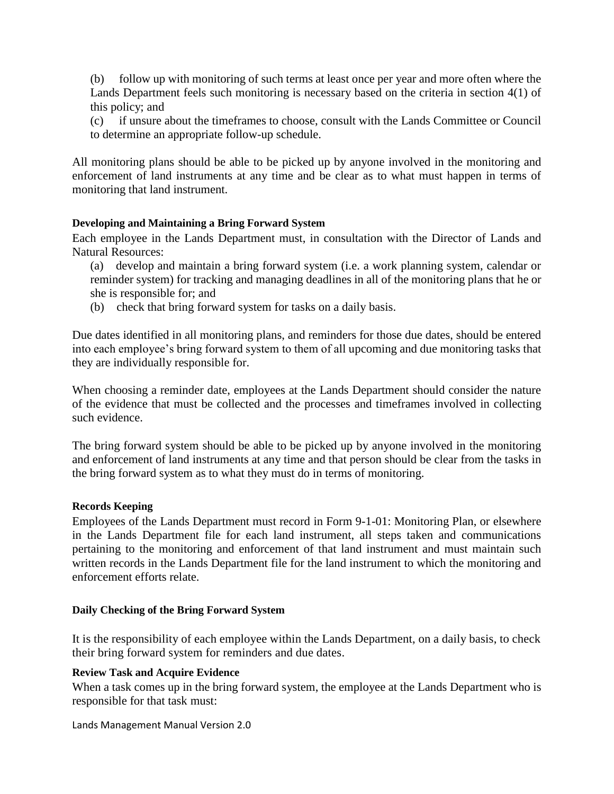(b) follow up with monitoring of such terms at least once per year and more often where the Lands Department feels such monitoring is necessary based on the criteria in section 4(1) of this policy; and

(c) if unsure about the timeframes to choose, consult with the Lands Committee or Council to determine an appropriate follow-up schedule.

All monitoring plans should be able to be picked up by anyone involved in the monitoring and enforcement of land instruments at any time and be clear as to what must happen in terms of monitoring that land instrument.

### **Developing and Maintaining a Bring Forward System**

Each employee in the Lands Department must, in consultation with the Director of Lands and Natural Resources:

- (a) develop and maintain a bring forward system (i.e. a work planning system, calendar or reminder system) for tracking and managing deadlines in all of the monitoring plans that he or she is responsible for; and
- (b) check that bring forward system for tasks on a daily basis.

Due dates identified in all monitoring plans, and reminders for those due dates, should be entered into each employee's bring forward system to them of all upcoming and due monitoring tasks that they are individually responsible for.

When choosing a reminder date, employees at the Lands Department should consider the nature of the evidence that must be collected and the processes and timeframes involved in collecting such evidence.

The bring forward system should be able to be picked up by anyone involved in the monitoring and enforcement of land instruments at any time and that person should be clear from the tasks in the bring forward system as to what they must do in terms of monitoring.

### **Records Keeping**

Employees of the Lands Department must record in Form 9-1-01: Monitoring Plan, or elsewhere in the Lands Department file for each land instrument, all steps taken and communications pertaining to the monitoring and enforcement of that land instrument and must maintain such written records in the Lands Department file for the land instrument to which the monitoring and enforcement efforts relate.

### **Daily Checking of the Bring Forward System**

It is the responsibility of each employee within the Lands Department, on a daily basis, to check their bring forward system for reminders and due dates.

### **Review Task and Acquire Evidence**

When a task comes up in the bring forward system, the employee at the Lands Department who is responsible for that task must: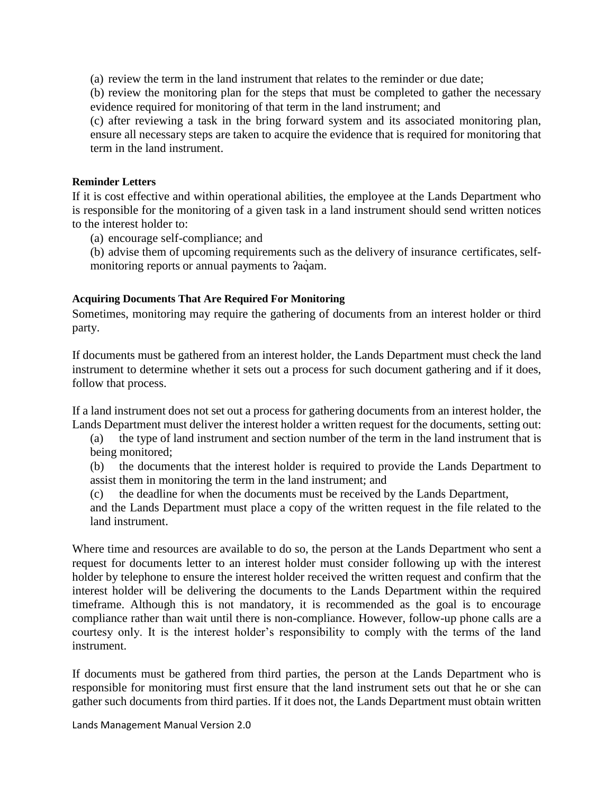(a) review the term in the land instrument that relates to the reminder or due date;

(b) review the monitoring plan for the steps that must be completed to gather the necessary evidence required for monitoring of that term in the land instrument; and

(c) after reviewing a task in the bring forward system and its associated monitoring plan, ensure all necessary steps are taken to acquire the evidence that is required for monitoring that term in the land instrument.

### **Reminder Letters**

If it is cost effective and within operational abilities, the employee at the Lands Department who is responsible for the monitoring of a given task in a land instrument should send written notices to the interest holder to:

(a) encourage self-compliance; and

(b) advise them of upcoming requirements such as the delivery of insurance certificates, selfmonitoring reports or annual payments to  $2a\dot{q}$ am.

### **Acquiring Documents That Are Required For Monitoring**

Sometimes, monitoring may require the gathering of documents from an interest holder or third party.

If documents must be gathered from an interest holder, the Lands Department must check the land instrument to determine whether it sets out a process for such document gathering and if it does, follow that process.

If a land instrument does not set out a process for gathering documents from an interest holder, the Lands Department must deliver the interest holder a written request for the documents, setting out:

(a) the type of land instrument and section number of the term in the land instrument that is being monitored;

(b) the documents that the interest holder is required to provide the Lands Department to assist them in monitoring the term in the land instrument; and

(c) the deadline for when the documents must be received by the Lands Department,

and the Lands Department must place a copy of the written request in the file related to the land instrument.

Where time and resources are available to do so, the person at the Lands Department who sent a request for documents letter to an interest holder must consider following up with the interest holder by telephone to ensure the interest holder received the written request and confirm that the interest holder will be delivering the documents to the Lands Department within the required timeframe. Although this is not mandatory, it is recommended as the goal is to encourage compliance rather than wait until there is non-compliance. However, follow-up phone calls are a courtesy only. It is the interest holder's responsibility to comply with the terms of the land instrument.

If documents must be gathered from third parties, the person at the Lands Department who is responsible for monitoring must first ensure that the land instrument sets out that he or she can gather such documents from third parties. If it does not, the Lands Department must obtain written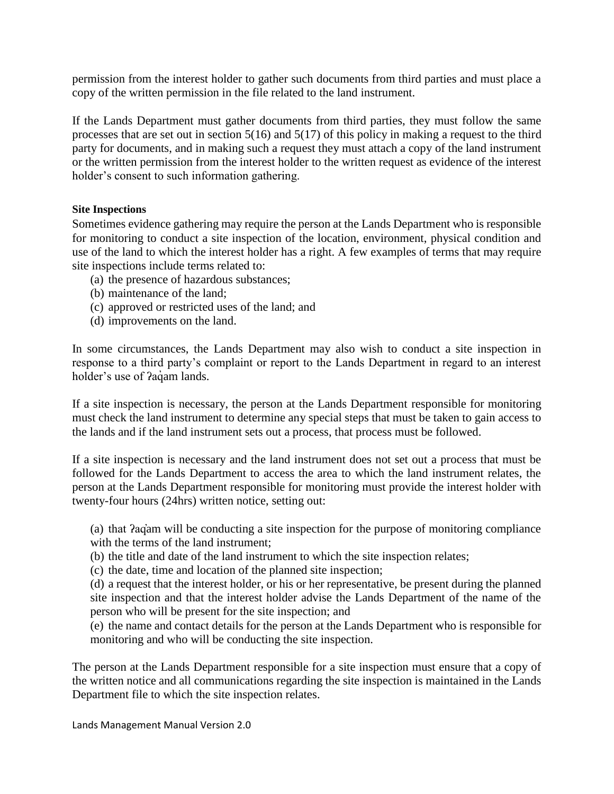permission from the interest holder to gather such documents from third parties and must place a copy of the written permission in the file related to the land instrument.

If the Lands Department must gather documents from third parties, they must follow the same processes that are set out in section 5(16) and 5(17) of this policy in making a request to the third party for documents, and in making such a request they must attach a copy of the land instrument or the written permission from the interest holder to the written request as evidence of the interest holder's consent to such information gathering.

### **Site Inspections**

Sometimes evidence gathering may require the person at the Lands Department who is responsible for monitoring to conduct a site inspection of the location, environment, physical condition and use of the land to which the interest holder has a right. A few examples of terms that may require site inspections include terms related to:

- (a) the presence of hazardous substances;
- (b) maintenance of the land;
- (c) approved or restricted uses of the land; and
- (d) improvements on the land.

In some circumstances, the Lands Department may also wish to conduct a site inspection in response to a third party's complaint or report to the Lands Department in regard to an interest holder's use of *?aqam lands*.

If a site inspection is necessary, the person at the Lands Department responsible for monitoring must check the land instrument to determine any special steps that must be taken to gain access to the lands and if the land instrument sets out a process, that process must be followed.

If a site inspection is necessary and the land instrument does not set out a process that must be followed for the Lands Department to access the area to which the land instrument relates, the person at the Lands Department responsible for monitoring must provide the interest holder with twenty-four hours (24hrs) written notice, setting out:

(a) that ʔaq̓am will be conducting a site inspection for the purpose of monitoring compliance with the terms of the land instrument;

(b) the title and date of the land instrument to which the site inspection relates;

(c) the date, time and location of the planned site inspection;

(d) a request that the interest holder, or his or her representative, be present during the planned site inspection and that the interest holder advise the Lands Department of the name of the person who will be present for the site inspection; and

(e) the name and contact details for the person at the Lands Department who is responsible for monitoring and who will be conducting the site inspection.

The person at the Lands Department responsible for a site inspection must ensure that a copy of the written notice and all communications regarding the site inspection is maintained in the Lands Department file to which the site inspection relates.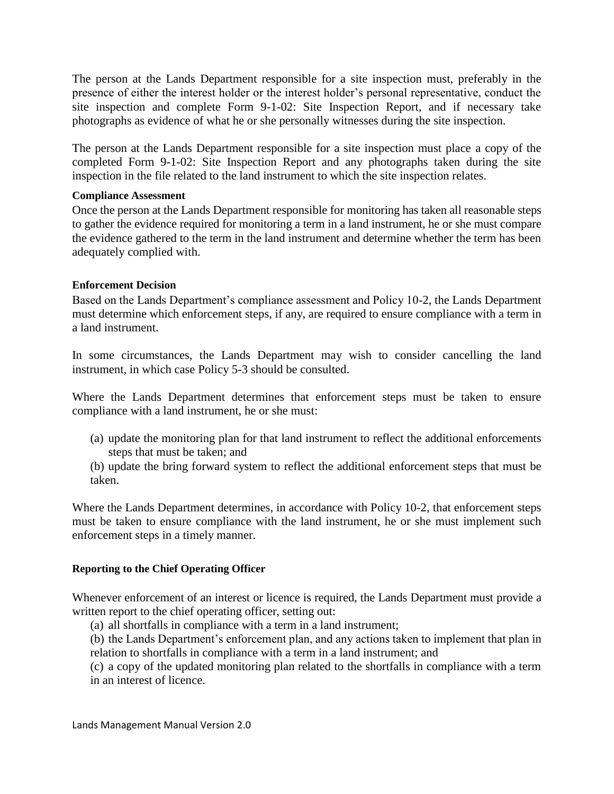The person at the Lands Department responsible for a site inspection must, preferably in the presence of either the interest holder or the interest holder's personal representative, conduct the site inspection and complete Form 9-1-02: Site Inspection Report, and if necessary take photographs as evidence of what he or she personally witnesses during the site inspection.

The person at the Lands Department responsible for a site inspection must place a copy of the completed Form 9-1-02: Site Inspection Report and any photographs taken during the site inspection in the file related to the land instrument to which the site inspection relates.

### **Compliance Assessment**

Once the person at the Lands Department responsible for monitoring has taken all reasonable steps to gather the evidence required for monitoring a term in a land instrument, he or she must compare the evidence gathered to the term in the land instrument and determine whether the term has been adequately complied with.

### **Enforcement Decision**

Based on the Lands Department's compliance assessment and Policy 10-2, the Lands Department must determine which enforcement steps, if any, are required to ensure compliance with a term in a land instrument.

In some circumstances, the Lands Department may wish to consider cancelling the land instrument, in which case Policy 5-3 should be consulted.

Where the Lands Department determines that enforcement steps must be taken to ensure compliance with a land instrument, he or she must:

- (a) update the monitoring plan for that land instrument to reflect the additional enforcements steps that must be taken; and
- (b) update the bring forward system to reflect the additional enforcement steps that must be taken.

Where the Lands Department determines, in accordance with Policy 10-2, that enforcement steps must be taken to ensure compliance with the land instrument, he or she must implement such enforcement steps in a timely manner.

### **Reporting to the Chief Operating Officer**

Whenever enforcement of an interest or licence is required, the Lands Department must provide a written report to the chief operating officer, setting out:

(a) all shortfalls in compliance with a term in a land instrument;

(b) the Lands Department's enforcement plan, and any actions taken to implement that plan in relation to shortfalls in compliance with a term in a land instrument; and

(c) a copy of the updated monitoring plan related to the shortfalls in compliance with a term in an interest of licence.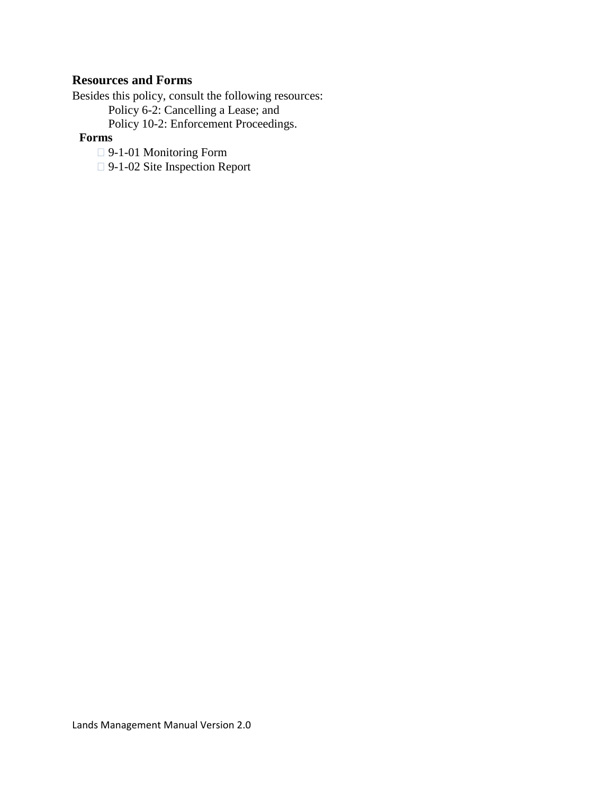### <span id="page-8-0"></span>**Resources and Forms**

Besides this policy, consult the following resources: Policy 6-2: Cancelling a Lease; and Policy 10-2: Enforcement Proceedings.

### **Forms**

- 9-1-01 Monitoring Form
- □ 9-1-02 Site Inspection Report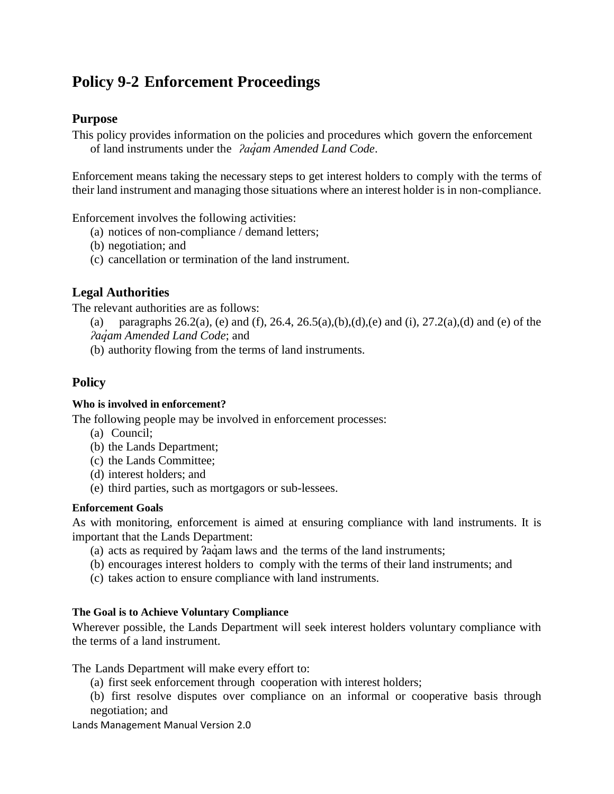## <span id="page-9-1"></span><span id="page-9-0"></span>**Policy 9-2 Enforcement Proceedings**

### **Purpose**

This policy provides information on the policies and procedures which govern the enforcement of land instruments under the *ʔaq̓am Amended Land Code*.

Enforcement means taking the necessary steps to get interest holders to comply with the terms of their land instrument and managing those situations where an interest holder is in non-compliance.

Enforcement involves the following activities:

- (a) notices of non-compliance / demand letters;
- (b) negotiation; and
- (c) cancellation or termination of the land instrument.

### <span id="page-9-2"></span>**Legal Authorities**

The relevant authorities are as follows:

(a) paragraphs  $26.2(a)$ , (e) and (f),  $26.4$ ,  $26.5(a)$ ,  $(b)$ ,  $(d)$ ,  $(e)$  and  $(i)$ ,  $27.2(a)$ ,  $(d)$  and  $(e)$  of the *ʔaq̓am Amended Land Code*; and

(b) authority flowing from the terms of land instruments.

### <span id="page-9-3"></span>**Policy**

### **Who is involved in enforcement?**

The following people may be involved in enforcement processes:

- (a) Council;
- (b) the Lands Department;
- (c) the Lands Committee;
- (d) interest holders; and
- (e) third parties, such as mortgagors or sub-lessees.

### **Enforcement Goals**

As with monitoring, enforcement is aimed at ensuring compliance with land instruments. It is important that the Lands Department:

- (a) acts as required by *?aq*´am laws and the terms of the land instruments;
- (b) encourages interest holders to comply with the terms of their land instruments; and
- (c) takes action to ensure compliance with land instruments.

### **The Goal is to Achieve Voluntary Compliance**

Wherever possible, the Lands Department will seek interest holders voluntary compliance with the terms of a land instrument.

The Lands Department will make every effort to:

(a) first seek enforcement through cooperation with interest holders;

(b) first resolve disputes over compliance on an informal or cooperative basis through negotiation; and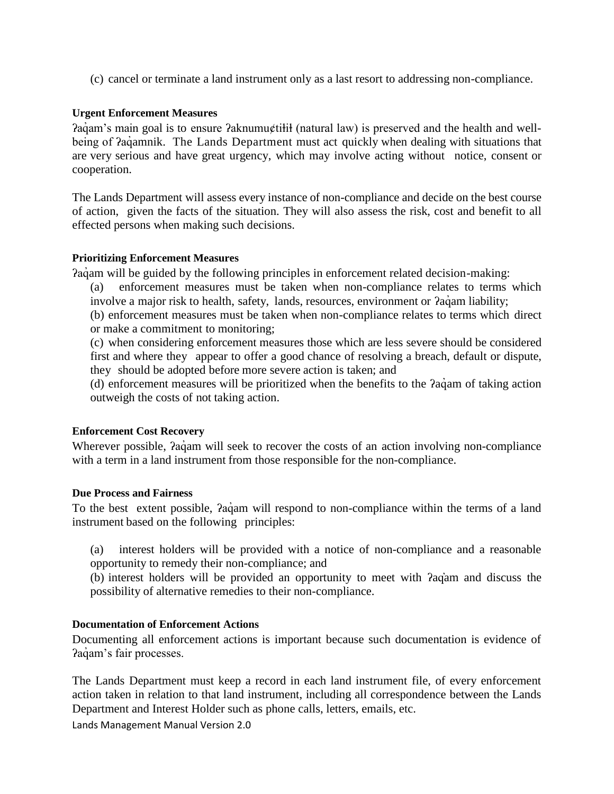(c) cancel or terminate a land instrument only as a last resort to addressing non-compliance.

### **Urgent Enforcement Measures**

Paq`am's main goal is to ensure Paknumu¢tilil (natural law) is preserved and the health and wellbeing of  $2a\dot{q}$  amnik. The Lands Department must act quickly when dealing with situations that are very serious and have great urgency, which may involve acting without notice, consent or cooperation.

The Lands Department will assess every instance of non-compliance and decide on the best course of action, given the facts of the situation. They will also assess the risk, cost and benefit to all effected persons when making such decisions.

#### **Prioritizing Enforcement Measures**

Paquam will be guided by the following principles in enforcement related decision-making:

- (a) enforcement measures must be taken when non-compliance relates to terms which involve a major risk to health, safety, lands, resources, environment or  $2a\dot{q}$  am liability;
- (b) enforcement measures must be taken when non-compliance relates to terms which direct or make a commitment to monitoring;
- (c) when considering enforcement measures those which are less severe should be considered first and where they appear to offer a good chance of resolving a breach, default or dispute, they should be adopted before more severe action is taken; and
- (d) enforcement measures will be prioritized when the benefits to the ʔaq̓ am of taking action outweigh the costs of not taking action.

#### **Enforcement Cost Recovery**

Wherever possible,  $2a\dot{q}$ am will seek to recover the costs of an action involving non-compliance with a term in a land instrument from those responsible for the non-compliance.

#### **Due Process and Fairness**

To the best extent possible, *Pagam will respond to non-compliance within the terms of a land* instrument based on the following principles:

(a) interest holders will be provided with a notice of non-compliance and a reasonable opportunity to remedy their non-compliance; and

(b) interest holders will be provided an opportunity to meet with ʔaq̓am and discuss the possibility of alternative remedies to their non-compliance.

### **Documentation of Enforcement Actions**

Documenting all enforcement actions is important because such documentation is evidence of Paquam's fair processes.

The Lands Department must keep a record in each land instrument file, of every enforcement action taken in relation to that land instrument, including all correspondence between the Lands Department and Interest Holder such as phone calls, letters, emails, etc.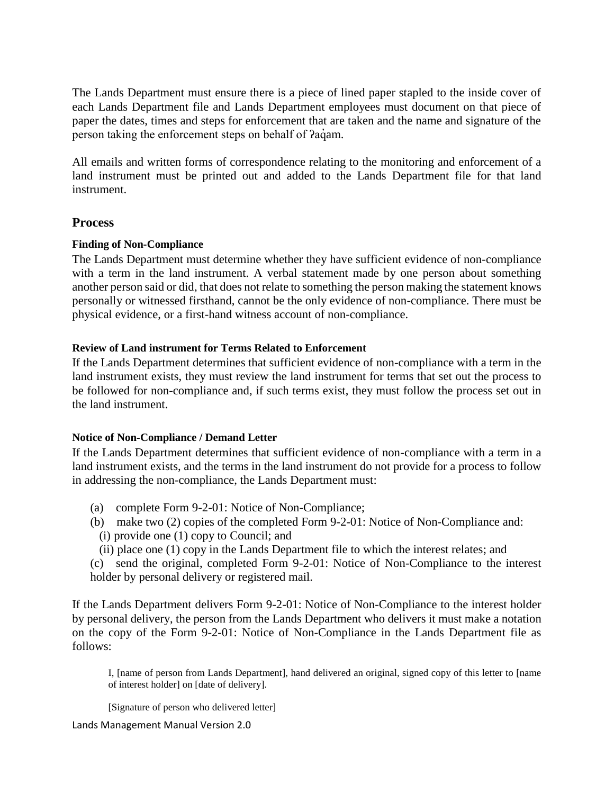The Lands Department must ensure there is a piece of lined paper stapled to the inside cover of each Lands Department file and Lands Department employees must document on that piece of paper the dates, times and steps for enforcement that are taken and the name and signature of the person taking the enforcement steps on behalf of  $aq$  am.

All emails and written forms of correspondence relating to the monitoring and enforcement of a land instrument must be printed out and added to the Lands Department file for that land instrument.

### <span id="page-11-0"></span>**Process**

### **Finding of Non-Compliance**

The Lands Department must determine whether they have sufficient evidence of non-compliance with a term in the land instrument. A verbal statement made by one person about something another person said or did, that does not relate to something the person making the statement knows personally or witnessed firsthand, cannot be the only evidence of non-compliance. There must be physical evidence, or a first-hand witness account of non-compliance.

### **Review of Land instrument for Terms Related to Enforcement**

If the Lands Department determines that sufficient evidence of non-compliance with a term in the land instrument exists, they must review the land instrument for terms that set out the process to be followed for non-compliance and, if such terms exist, they must follow the process set out in the land instrument.

### **Notice of Non-Compliance / Demand Letter**

If the Lands Department determines that sufficient evidence of non-compliance with a term in a land instrument exists, and the terms in the land instrument do not provide for a process to follow in addressing the non-compliance, the Lands Department must:

- (a) complete Form 9-2-01: Notice of Non-Compliance;
- (b) make two (2) copies of the completed Form 9-2-01: Notice of Non-Compliance and:
- (i) provide one (1) copy to Council; and
- (ii) place one (1) copy in the Lands Department file to which the interest relates; and

(c) send the original, completed Form 9-2-01: Notice of Non-Compliance to the interest holder by personal delivery or registered mail.

If the Lands Department delivers Form 9-2-01: Notice of Non-Compliance to the interest holder by personal delivery, the person from the Lands Department who delivers it must make a notation on the copy of the Form 9-2-01: Notice of Non-Compliance in the Lands Department file as follows:

I, [name of person from Lands Department], hand delivered an original, signed copy of this letter to [name of interest holder] on [date of delivery].

[Signature of person who delivered letter]